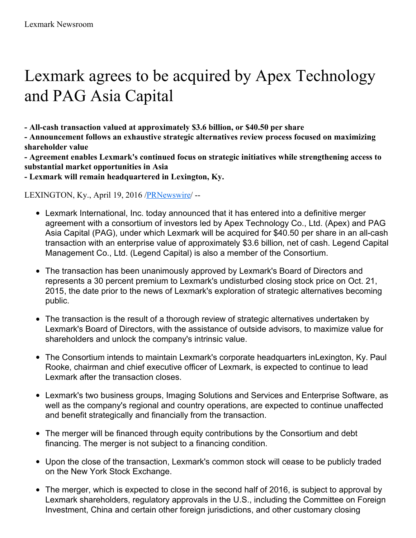# Lexmark agrees to be acquired by Apex Technology and PAG Asia Capital

**- All-cash transaction valued at approximately \$3.6 billion, or \$40.50 per share**

**- Announcement follows an exhaustive strategic alternatives review process focused on maximizing shareholder value**

**- Agreement enables Lexmark's continued focus on strategic initiatives while strengthening access to substantial market opportunities in Asia**

**- Lexmark will remain headquartered in Lexington, Ky.**

LEXINGTON, Ky., April 19, 2016 [/PRNewswire](http://www.prnewswire.com/)/ --

- Lexmark International, Inc. today announced that it has entered into a definitive merger agreement with a consortium of investors led by Apex Technology Co., Ltd. (Apex) and PAG Asia Capital (PAG), under which Lexmark will be acquired for \$40.50 per share in an all-cash transaction with an enterprise value of approximately \$3.6 billion, net of cash. Legend Capital Management Co., Ltd. (Legend Capital) is also a member of the Consortium.
- The transaction has been unanimously approved by Lexmark's Board of Directors and  $\bullet$ represents a 30 percent premium to Lexmark's undisturbed closing stock price on Oct. 21, 2015, the date prior to the news of Lexmark's exploration of strategic alternatives becoming public.
- The transaction is the result of a thorough review of strategic alternatives undertaken by Lexmark's Board of Directors, with the assistance of outside advisors, to maximize value for shareholders and unlock the company's intrinsic value.
- The Consortium intends to maintain Lexmark's corporate headquarters inLexington, Ky. Paul Rooke, chairman and chief executive officer of Lexmark, is expected to continue to lead Lexmark after the transaction closes.
- Lexmark's two business groups, Imaging Solutions and Services and Enterprise Software, as well as the company's regional and country operations, are expected to continue unaffected and benefit strategically and financially from the transaction.
- The merger will be financed through equity contributions by the Consortium and debt financing. The merger is not subject to a financing condition.
- Upon the close of the transaction, Lexmark's common stock will cease to be publicly traded on the New York Stock Exchange.
- The merger, which is expected to close in the second half of 2016, is subject to approval by Lexmark shareholders, regulatory approvals in the U.S., including the Committee on Foreign Investment, China and certain other foreign jurisdictions, and other customary closing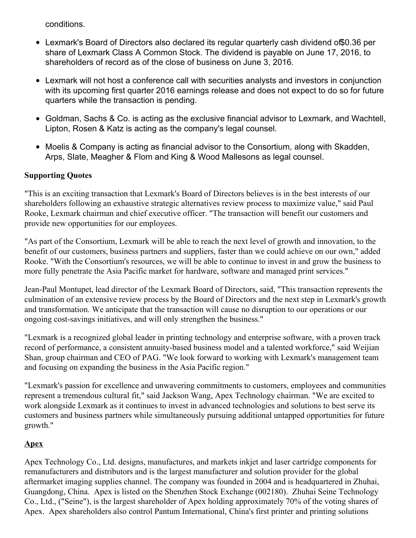conditions.

- Lexmark's Board of Directors also declared its regular quarterly cash dividend of\$0.36 per share of Lexmark Class A Common Stock. The dividend is payable on June 17, 2016, to shareholders of record as of the close of business on June 3, 2016.
- Lexmark will not host a conference call with securities analysts and investors in conjunction with its upcoming first quarter 2016 earnings release and does not expect to do so for future quarters while the transaction is pending.
- Goldman, Sachs & Co. is acting as the exclusive financial advisor to Lexmark, and Wachtell, Lipton, Rosen & Katz is acting as the company's legal counsel.
- Moelis & Company is acting as financial advisor to the Consortium, along with Skadden, Arps, Slate, Meagher & Flom and King & Wood Mallesons as legal counsel.

#### **Supporting Quotes**

"This is an exciting transaction that Lexmark's Board of Directors believes is in the best interests of our shareholders following an exhaustive strategic alternatives review process to maximize value," said Paul Rooke, Lexmark chairman and chief executive officer. "The transaction will benefit our customers and provide new opportunities for our employees.

"As part of the Consortium, Lexmark will be able to reach the next level of growth and innovation, to the benefit of our customers, business partners and suppliers, faster than we could achieve on our own," added Rooke. "With the Consortium's resources, we will be able to continue to invest in and grow the business to more fully penetrate the Asia Pacific market for hardware, software and managed print services."

Jean-Paul Montupet, lead director of the Lexmark Board of Directors, said, "This transaction represents the culmination of an extensive review process by the Board of Directors and the next step in Lexmark's growth and transformation. We anticipate that the transaction will cause no disruption to our operations or our ongoing cost-savings initiatives, and will only strengthen the business."

"Lexmark is a recognized global leader in printing technology and enterprise software, with a proven track record of performance, a consistent annuity-based business model and a talented workforce," said Weijian Shan, group chairman and CEO of PAG. "We look forward to working with Lexmark's management team and focusing on expanding the business in the Asia Pacific region."

"Lexmark's passion for excellence and unwavering commitments to customers, employees and communities represent a tremendous cultural fit," said Jackson Wang, Apex Technology chairman. "We are excited to work alongside Lexmark as it continues to invest in advanced technologies and solutions to best serve its customers and business partners while simultaneously pursuing additional untapped opportunities for future growth."

#### **Apex**

Apex Technology Co., Ltd. designs, manufactures, and markets inkjet and laser cartridge components for remanufacturers and distributors and is the largest manufacturer and solution provider for the global aftermarket imaging supplies channel. The company was founded in 2004 and is headquartered in Zhuhai, Guangdong, China. Apex is listed on the Shenzhen Stock Exchange (002180). Zhuhai Seine Technology Co., Ltd., ("Seine"), is the largest shareholder of Apex holding approximately 70% of the voting shares of Apex. Apex shareholders also control Pantum International, China's first printer and printing solutions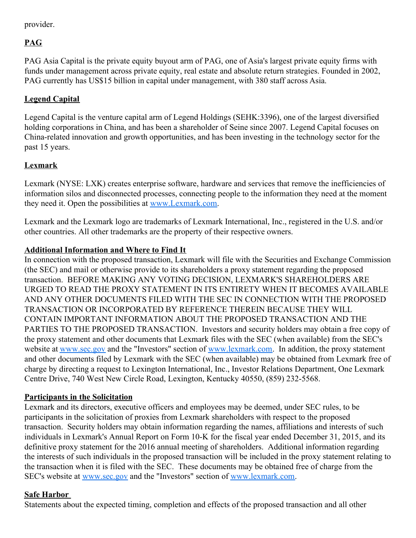provider.

## **PAG**

PAG Asia Capital is the private equity buyout arm of PAG, one of Asia's largest private equity firms with funds under management across private equity, real estate and absolute return strategies. Founded in 2002, PAG currently has US\$15 billion in capital under management, with 380 staff across Asia.

## **Legend Capital**

Legend Capital is the venture capital arm of Legend Holdings (SEHK:3396), one of the largest diversified holding corporations in China, and has been a shareholder of Seine since 2007. Legend Capital focuses on China-related innovation and growth opportunities, and has been investing in the technology sector for the past 15 years.

## **Lexmark**

Lexmark (NYSE: LXK) creates enterprise software, hardware and services that remove the inefficiencies of information silos and disconnected processes, connecting people to the information they need at the moment they need it. Open the possibilities at [www.Lexmark.com](http://www.lexmark.com/).

Lexmark and the Lexmark logo are trademarks of Lexmark International, Inc., registered in the U.S. and/or other countries. All other trademarks are the property of their respective owners.

## **Additional Information and Where to Find It**

In connection with the proposed transaction, Lexmark will file with the Securities and Exchange Commission (the SEC) and mail or otherwise provide to its shareholders a proxy statement regarding the proposed transaction. BEFORE MAKING ANY VOTING DECISION, LEXMARK'S SHAREHOLDERS ARE URGED TO READ THE PROXY STATEMENT IN ITS ENTIRETY WHEN IT BECOMES AVAILABLE AND ANY OTHER DOCUMENTS FILED WITH THE SEC IN CONNECTION WITH THE PROPOSED TRANSACTION OR INCORPORATED BY REFERENCE THEREIN BECAUSE THEY WILL CONTAIN IMPORTANT INFORMATION ABOUT THE PROPOSED TRANSACTION AND THE PARTIES TO THE PROPOSED TRANSACTION. Investors and security holders may obtain a free copy of the proxy statement and other documents that Lexmark files with the SEC (when available) from the SEC's website at [www.sec.gov](http://www.sec.gov) and the "Investors" section of [www.lexmark.com](http://www.lexmark.com). In addition, the proxy statement and other documents filed by Lexmark with the SEC (when available) may be obtained from Lexmark free of charge by directing a request to Lexington International, Inc., Investor Relations Department, One Lexmark Centre Drive, 740 West New Circle Road, Lexington, Kentucky 40550, (859) 232-5568.

#### **Participants in the Solicitation**

Lexmark and its directors, executive officers and employees may be deemed, under SEC rules, to be participants in the solicitation of proxies from Lexmark shareholders with respect to the proposed transaction. Security holders may obtain information regarding the names, affiliations and interests of such individuals in Lexmark's Annual Report on Form 10-K for the fiscal year ended December 31, 2015, and its definitive proxy statement for the 2016 annual meeting of shareholders. Additional information regarding the interests of such individuals in the proposed transaction will be included in the proxy statement relating to the transaction when it is filed with the SEC. These documents may be obtained free of charge from the SEC's website at [www.sec.gov](http://www.sec.gov) and the "Investors" section of [www.lexmark.com](http://www.lexmark.com).

#### **Safe Harbor**

Statements about the expected timing, completion and effects of the proposed transaction and all other